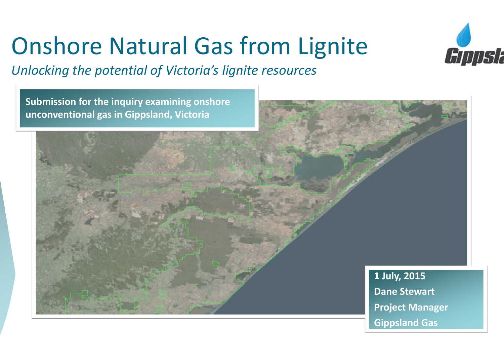# Onshore Natural Gas from Lignite

*Unlocking the potential of Victoria's lignite resources*

**Submission for the inquiry examining onshore unconventional gas in Gippsland, Victoria**

> **1 July, 2015 Dane Stewart Project Manager Gippsland Gas**

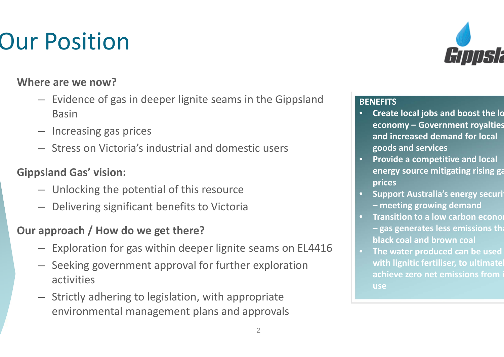## Our Position

#### **Where are we now?**

- Evidence of gas in deeper lignite seams in the Gippsland Basin
- Increasing gas prices
- Stress on Victoria's industrial and domestic users

#### **Gippsland Gas' vision:**

- Unlocking the potential of this resource
- Delivering significant benefits to Victoria

#### **Our approach / How do we get there?**

- Exploration for gas within deeper lignite seams on EL4416
- Seeking government approval for further exploration activities
- Strictly adhering to legislation, with appropriate environmental management plans and approvals



#### **BENEFITS**

- • **Create local jobs and boost the lo economy – Government royalties and increased demand for local goods and services**
- • **Provide <sup>a</sup> competitive and local energy source mitigating rising ga prices**
- **Support Australia's energy securit – meeting growing demand**
- $\bullet$ **• Transition to a low carbon econom – gas generates less emissions tha black coal and brown coal**
- **The water produced can be used with lignitic fertiliser, to ultimatel achieve zero net emissions from i use**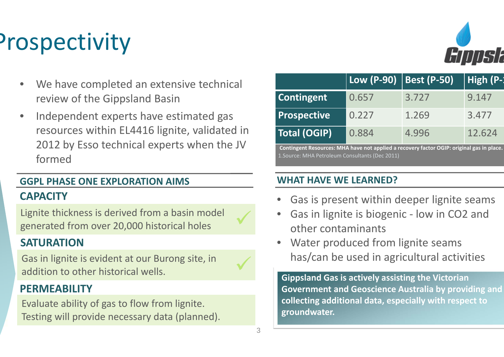# Prospectivity

- • We have completed an extensive technical review of the Gippsland Basin
- • Independent experts have estimated gas resources within EL4416 lignite, validated in 2012 by Esso technical experts when the JV formed

#### **CAPACITYGGPL PHASE ONE EXPLORATION AIMS**

Lignite thickness is derived from <sup>a</sup> basin model generated from over 20,000 historical holes

#### **SATURATION**

Gas in lignite is evident at our Burong site, in addition to other historical wells.

#### **PERMEABILITY**

Evaluate ability of gas to flow from lignite. Testing will provide necessary data (planned).



|                                                                                           | Low (P-90)   Best (P-50) |       | High (P-: |
|-------------------------------------------------------------------------------------------|--------------------------|-------|-----------|
| Contingent                                                                                | 0.657                    | 3.727 | 9.147     |
| <b>Prospective</b>                                                                        | 0.227                    | 1.269 | 3.477     |
| Total (OGIP)                                                                              | 0.884                    | 4.996 | 12.624    |
| Contingent Resources: MHA have not applied a recovery factor OGIP: original gas in place. |                          |       |           |

1.Source: MHA Petroleum Consultants (Dec 2011)

#### **WHAT HAVE WE LEARNED?**

- •Gas is present within deeper lignite seams
- •● Gas in lignite is biogenic - low in CO2 and other contaminants
- • Water produced from lignite seams has/can be used in agricultural activities

**Gippsland Gas is actively assisting the Victorian Government and Geoscience Australia by providing and collecting additional data, especially with respect to groundwater.**

 $\checkmark$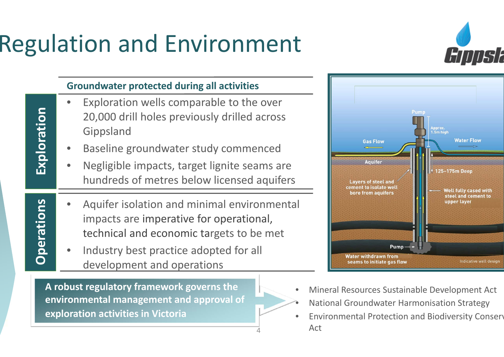# Regulation and Environment

**Exploration**

Exploration

**Operations**

Operations



#### **Groundwater protected during all activities**

- • Exploration wells comparable to the over 20,000 drill holes previously drilled across Gippsland
- •Baseline groundwater study commenced
- • Negligible impacts, target lignite seams are hundreds of metres below licensed aquifers
- • Aquifer isolation and minimal environmental impacts are imperative for operational, technical and economic targets to be met

4

•

• Industry best practice adopted for all development and operations

**A robust regulatory framework governs the environmental management and approval of exploration activities in Victoria**



- •Mineral Resources Sustainable Development Act
- National Groundwater Harmonisation Strategy
- •**•** Environmental Protection and Biodiversity Conserv Act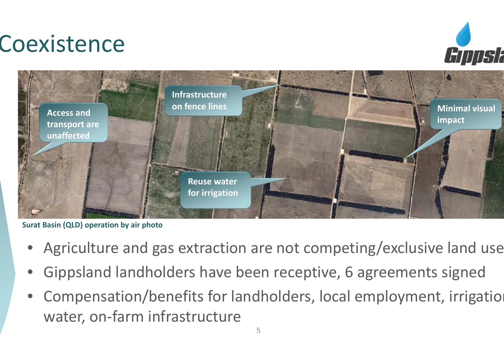## Coexistence





**Surat Basin (QLD) operation by air photo**

- $\bullet$ Agriculture and gas extraction are not competing/exclusive land use
- $\bullet$ Gippsland landholders have been receptive, 6 agreements signed
- $\bullet$ Compensation/benefits for landholders, local employment, irrigation water, on-farm infrastructure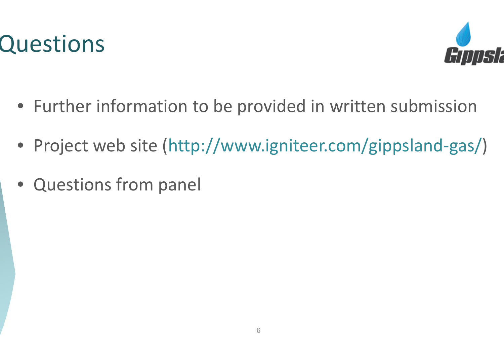



- Further information to be provided in written submission
- Project web site (http://www.igniteer.com/gippsland‐gas/)
- Questions from panel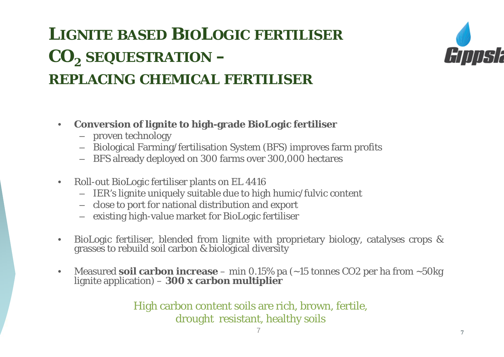### **LIGNITE BASED BIOLOGIC FERTILISER CO2 SEQUESTRATION – REPLACING CHEMICAL FERTILISER**



- $\bullet$  **Conversion of lignite to high-grade BioLogic fertiliser**
	- proven technology
	- Biological Farming/fertilisation System (BFS) improves farm profits
	- BFS already deployed on 300 farms over 300,000 hectares
- $\bullet$  Roll-out BioLogic fertiliser plants on EL 4416
	- IER's lignite uniquely suitable due to high humic/fulvic content
	- close to port for national distribution and export
	- existing high-value market for BioLogic fertiliser
- •• BioLogic fertiliser, blended from lignite with proprietary biology, catalyses crops & grasses to rebuild soil carbon & biological diversity
- $\bullet$ Measured **soil carbon increase** – min 0.15% pa (~15 tonnes CO2 per ha from ~50kg lignite application) – **<sup>300</sup> <sup>x</sup> carbon multiplier**

High carbon content soils are rich, brown, fertile, drought resistant, healthy soils